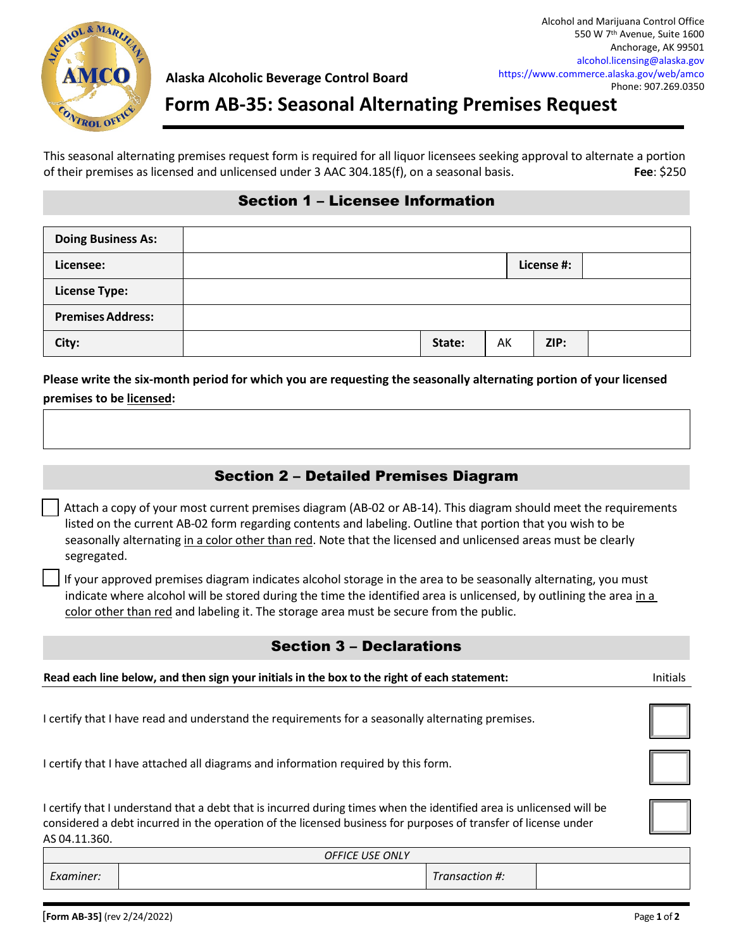

## **Form AB-35: Seasonal Alternating Premises Request**

This seasonal alternating premises request form is required for all liquor licensees seeking approval to alternate a portion of their premises as licensed and unlicensed under 3 AAC 304.185(f), on a seasonal basis. **Fee**: \$250

## Section 1 – Licensee Information

| <b>Doing Business As:</b> |        |    |            |  |
|---------------------------|--------|----|------------|--|
| Licensee:                 |        |    | License #: |  |
| <b>License Type:</b>      |        |    |            |  |
| <b>Premises Address:</b>  |        |    |            |  |
| City:                     | State: | AK | ZIP:       |  |

**Please write the six-month period for which you are requesting the seasonally alternating portion of your licensed premises to be licensed:** 

## Section 2 – Detailed Premises Diagram

| Attach a copy of your most current premises diagram (AB-02 or AB-14). This diagram should meet the requirements |
|-----------------------------------------------------------------------------------------------------------------|
| listed on the current AB-02 form regarding contents and labeling. Outline that portion that you wish to be      |
| seasonally alternating in a color other than red. Note that the licensed and unlicensed areas must be clearly   |
| segregated.                                                                                                     |

 If your approved premises diagram indicates alcohol storage in the area to be seasonally alternating, you must indicate where alcohol will be stored during the time the identified area is unlicensed, by outlining the area in a color other than red and labeling it. The storage area must be secure from the public.

## Section 3 – Declarations

| Read each line below, and then sign your initials in the box to the right of each statement:                                                                                                                                                            | Initials |
|---------------------------------------------------------------------------------------------------------------------------------------------------------------------------------------------------------------------------------------------------------|----------|
| I certify that I have read and understand the requirements for a seasonally alternating premises.                                                                                                                                                       |          |
| I certify that I have attached all diagrams and information required by this form.                                                                                                                                                                      |          |
| I certify that I understand that a debt that is incurred during times when the identified area is unlicensed will be<br>considered a debt incurred in the operation of the licensed business for purposes of transfer of license under<br>AS 04.11.360. |          |

| <b>OFFICE USE ONLY</b> |  |               |  |  |  |
|------------------------|--|---------------|--|--|--|
| Examiner:              |  | "ransaction # |  |  |  |